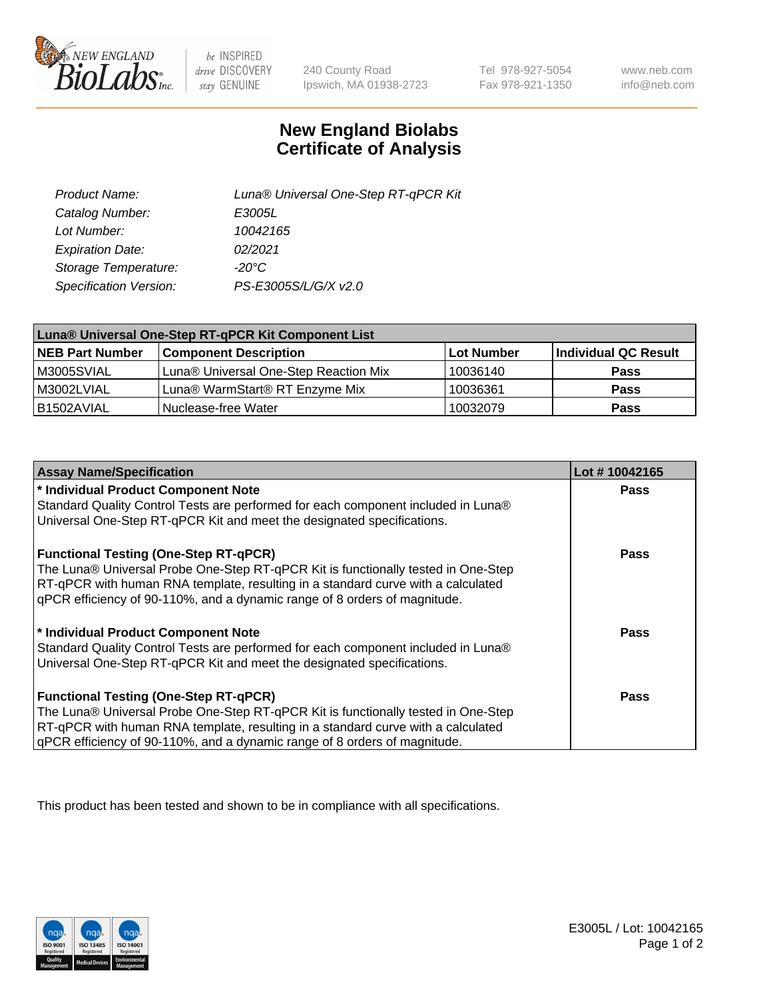

 $be$  INSPIRED drive DISCOVERY stay GENUINE

240 County Road Ipswich, MA 01938-2723

Tel 978-927-5054 Fax 978-921-1350

www.neb.com info@neb.com

## **New England Biolabs Certificate of Analysis**

| Product Name:           | Luna® Universal One-Step RT-qPCR Kit |
|-------------------------|--------------------------------------|
| Catalog Number:         | E3005L                               |
| Lot Number:             | 10042165                             |
| <b>Expiration Date:</b> | 02/2021                              |
| Storage Temperature:    | $-20^{\circ}$ C                      |
| Specification Version:  | PS-E3005S/L/G/X v2.0                 |

| Luna® Universal One-Step RT-qPCR Kit Component List |                                       |            |                      |  |
|-----------------------------------------------------|---------------------------------------|------------|----------------------|--|
| <b>NEB Part Number</b>                              | <b>Component Description</b>          | Lot Number | Individual QC Result |  |
| M3005SVIAL                                          | Luna® Universal One-Step Reaction Mix | 10036140   | <b>Pass</b>          |  |
| M3002LVIAL                                          | Luna® WarmStart® RT Enzyme Mix        | 10036361   | <b>Pass</b>          |  |
| B1502AVIAL                                          | Nuclease-free Water                   | 10032079   | <b>Pass</b>          |  |

| <b>Assay Name/Specification</b>                                                   | Lot #10042165 |
|-----------------------------------------------------------------------------------|---------------|
| * Individual Product Component Note                                               | <b>Pass</b>   |
| Standard Quality Control Tests are performed for each component included in Luna® |               |
| Universal One-Step RT-qPCR Kit and meet the designated specifications.            |               |
| <b>Functional Testing (One-Step RT-qPCR)</b>                                      | Pass          |
| The Luna® Universal Probe One-Step RT-qPCR Kit is functionally tested in One-Step |               |
| RT-qPCR with human RNA template, resulting in a standard curve with a calculated  |               |
| gPCR efficiency of 90-110%, and a dynamic range of 8 orders of magnitude.         |               |
| * Individual Product Component Note                                               | Pass          |
| Standard Quality Control Tests are performed for each component included in Luna® |               |
| Universal One-Step RT-qPCR Kit and meet the designated specifications.            |               |
| <b>Functional Testing (One-Step RT-qPCR)</b>                                      | <b>Pass</b>   |
| The Luna® Universal Probe One-Step RT-qPCR Kit is functionally tested in One-Step |               |
| RT-qPCR with human RNA template, resulting in a standard curve with a calculated  |               |
| gPCR efficiency of 90-110%, and a dynamic range of 8 orders of magnitude.         |               |

This product has been tested and shown to be in compliance with all specifications.